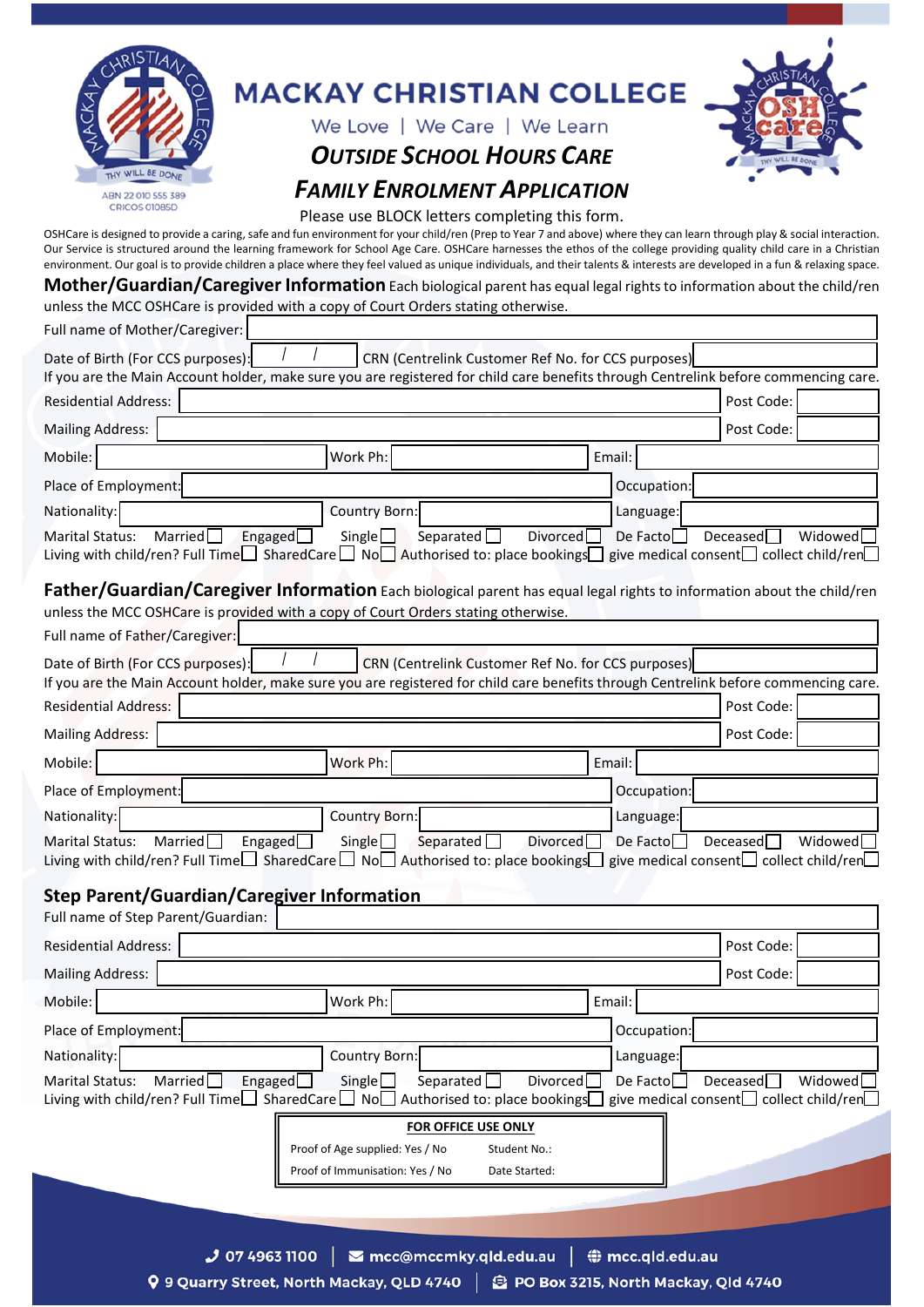|                                                                                                                                                                                                                                                                                                                                                                                                                                                                                                                                                                                                                                                       | <b>MACKAY CHRISTIAN COLLEGE</b>                                                                                            |                               |                  |                                                               |  |
|-------------------------------------------------------------------------------------------------------------------------------------------------------------------------------------------------------------------------------------------------------------------------------------------------------------------------------------------------------------------------------------------------------------------------------------------------------------------------------------------------------------------------------------------------------------------------------------------------------------------------------------------------------|----------------------------------------------------------------------------------------------------------------------------|-------------------------------|------------------|---------------------------------------------------------------|--|
|                                                                                                                                                                                                                                                                                                                                                                                                                                                                                                                                                                                                                                                       | We Love   We Care   We Learn                                                                                               |                               |                  |                                                               |  |
|                                                                                                                                                                                                                                                                                                                                                                                                                                                                                                                                                                                                                                                       | <b>OUTSIDE SCHOOL HOURS CARE</b>                                                                                           |                               |                  |                                                               |  |
| THY WILL BE DONE                                                                                                                                                                                                                                                                                                                                                                                                                                                                                                                                                                                                                                      |                                                                                                                            |                               |                  |                                                               |  |
| ABN 22 010 555 389<br>CRICOS 01085D                                                                                                                                                                                                                                                                                                                                                                                                                                                                                                                                                                                                                   | <b>FAMILY ENROLMENT APPLICATION</b>                                                                                        |                               |                  |                                                               |  |
| OSHCare is designed to provide a caring, safe and fun environment for your child/ren (Prep to Year 7 and above) where they can learn through play & social interaction.<br>Our Service is structured around the learning framework for School Age Care. OSHCare harnesses the ethos of the college providing quality child care in a Christian<br>environment. Our goal is to provide children a place where they feel valued as unique individuals, and their talents & interests are developed in a fun & relaxing space.<br>Mother/Guardian/Caregiver Information Each biological parent has equal legal rights to information about the child/ren | Please use BLOCK letters completing this form.                                                                             |                               |                  |                                                               |  |
| unless the MCC OSHCare is provided with a copy of Court Orders stating otherwise.                                                                                                                                                                                                                                                                                                                                                                                                                                                                                                                                                                     |                                                                                                                            |                               |                  |                                                               |  |
| Full name of Mother/Caregiver:                                                                                                                                                                                                                                                                                                                                                                                                                                                                                                                                                                                                                        |                                                                                                                            |                               |                  |                                                               |  |
| Date of Birth (For CCS purposes):<br>If you are the Main Account holder, make sure you are registered for child care benefits through Centrelink before commencing care.                                                                                                                                                                                                                                                                                                                                                                                                                                                                              | CRN (Centrelink Customer Ref No. for CCS purposes)                                                                         |                               |                  |                                                               |  |
| <b>Residential Address:</b>                                                                                                                                                                                                                                                                                                                                                                                                                                                                                                                                                                                                                           |                                                                                                                            |                               |                  | Post Code:                                                    |  |
| <b>Mailing Address:</b>                                                                                                                                                                                                                                                                                                                                                                                                                                                                                                                                                                                                                               |                                                                                                                            |                               |                  | Post Code:                                                    |  |
| Mobile:                                                                                                                                                                                                                                                                                                                                                                                                                                                                                                                                                                                                                                               | Work Ph:                                                                                                                   |                               | Email:           |                                                               |  |
| Place of Employment:                                                                                                                                                                                                                                                                                                                                                                                                                                                                                                                                                                                                                                  |                                                                                                                            |                               | Occupation:      |                                                               |  |
| Nationality:                                                                                                                                                                                                                                                                                                                                                                                                                                                                                                                                                                                                                                          | Country Born:                                                                                                              |                               | Language:        |                                                               |  |
| Married $\Box$<br><b>Marital Status:</b><br>Living with child/ren? Full Time $\Box$ SharedCare $\Box$ No $\Box$ Authorised to: place bookings give medical consent $\Box$ collect child/ren                                                                                                                                                                                                                                                                                                                                                                                                                                                           | Separated $\Box$<br>Engaged $\Box$<br>Single                                                                               | Divorced <sup>[</sup>         | De Facto $\Box$  | Deceased<br>Widowed                                           |  |
| Father/Guardian/Caregiver Information Each biological parent has equal legal rights to information about the child/ren<br>unless the MCC OSHCare is provided with a copy of Court Orders stating otherwise.                                                                                                                                                                                                                                                                                                                                                                                                                                           |                                                                                                                            |                               |                  |                                                               |  |
| Full name of Father/Caregiver:                                                                                                                                                                                                                                                                                                                                                                                                                                                                                                                                                                                                                        |                                                                                                                            |                               |                  |                                                               |  |
| Date of Birth (For CCS purposes):<br>If you are the Main Account holder, make sure you are registered for child care benefits through Centrelink before commencing care.                                                                                                                                                                                                                                                                                                                                                                                                                                                                              | CRN (Centrelink Customer Ref No. for CCS purposes)                                                                         |                               |                  |                                                               |  |
| <b>Residential Address:</b>                                                                                                                                                                                                                                                                                                                                                                                                                                                                                                                                                                                                                           |                                                                                                                            |                               |                  | Post Code:                                                    |  |
| <b>Mailing Address:</b>                                                                                                                                                                                                                                                                                                                                                                                                                                                                                                                                                                                                                               |                                                                                                                            |                               |                  | Post Code:                                                    |  |
| Mobile:                                                                                                                                                                                                                                                                                                                                                                                                                                                                                                                                                                                                                                               | Work Ph:                                                                                                                   |                               | Email:           |                                                               |  |
| Place of Employment:                                                                                                                                                                                                                                                                                                                                                                                                                                                                                                                                                                                                                                  |                                                                                                                            |                               | Occupation:      |                                                               |  |
| Nationality:                                                                                                                                                                                                                                                                                                                                                                                                                                                                                                                                                                                                                                          | <b>Country Born:</b>                                                                                                       |                               | Language:        |                                                               |  |
| Married<br><b>Marital Status:</b><br>Living with child/ren? Full Time $\Box$ SharedCare $\Box$ No $\Box$ Authorised to: place bookings give medical consent $\Box$ collect child/ren $\Box$                                                                                                                                                                                                                                                                                                                                                                                                                                                           | Separated $\Box$<br>Engaged<br>Single                                                                                      | Divorced                      | De Facto         | Deceased<br>Widowed                                           |  |
| <b>Step Parent/Guardian/Caregiver Information</b><br>Full name of Step Parent/Guardian:                                                                                                                                                                                                                                                                                                                                                                                                                                                                                                                                                               |                                                                                                                            |                               |                  |                                                               |  |
| <b>Residential Address:</b>                                                                                                                                                                                                                                                                                                                                                                                                                                                                                                                                                                                                                           |                                                                                                                            |                               |                  | Post Code:                                                    |  |
| <b>Mailing Address:</b>                                                                                                                                                                                                                                                                                                                                                                                                                                                                                                                                                                                                                               |                                                                                                                            |                               |                  | Post Code:                                                    |  |
| Mobile:                                                                                                                                                                                                                                                                                                                                                                                                                                                                                                                                                                                                                                               | Work Ph:                                                                                                                   |                               | Email:           |                                                               |  |
| Place of Employment:                                                                                                                                                                                                                                                                                                                                                                                                                                                                                                                                                                                                                                  |                                                                                                                            |                               | Occupation:      |                                                               |  |
| Nationality:                                                                                                                                                                                                                                                                                                                                                                                                                                                                                                                                                                                                                                          | Country Born:                                                                                                              |                               | Language:        |                                                               |  |
| <b>Marital Status:</b><br>Married <sup>[1]</sup><br>Living with child/ren? Full Time□ SharedCare□ No□ Authorised to: place bookings□                                                                                                                                                                                                                                                                                                                                                                                                                                                                                                                  | Separated $\Box$<br>Engaged $\Box$<br>Single $\Box$                                                                        | Divorced                      | De Facto         | Deceased<br>Widowed<br>give medical consent collect child/ren |  |
|                                                                                                                                                                                                                                                                                                                                                                                                                                                                                                                                                                                                                                                       | <b>FOR OFFICE USE ONLY</b>                                                                                                 |                               |                  |                                                               |  |
|                                                                                                                                                                                                                                                                                                                                                                                                                                                                                                                                                                                                                                                       | Proof of Age supplied: Yes / No<br>Proof of Immunisation: Yes / No                                                         | Student No.:<br>Date Started: |                  |                                                               |  |
|                                                                                                                                                                                                                                                                                                                                                                                                                                                                                                                                                                                                                                                       |                                                                                                                            |                               |                  |                                                               |  |
|                                                                                                                                                                                                                                                                                                                                                                                                                                                                                                                                                                                                                                                       |                                                                                                                            |                               |                  |                                                               |  |
| $J$ 07 4963 1100                                                                                                                                                                                                                                                                                                                                                                                                                                                                                                                                                                                                                                      | <b>⊠ mcc@mccmky.qld.edu.au</b><br>Q 9 Quarry Street, North Mackay, QLD 4740   <b>S</b> PO Box 3215, North Mackay, Qld 4740 |                               | ₩ mcc.qld.edu.au |                                                               |  |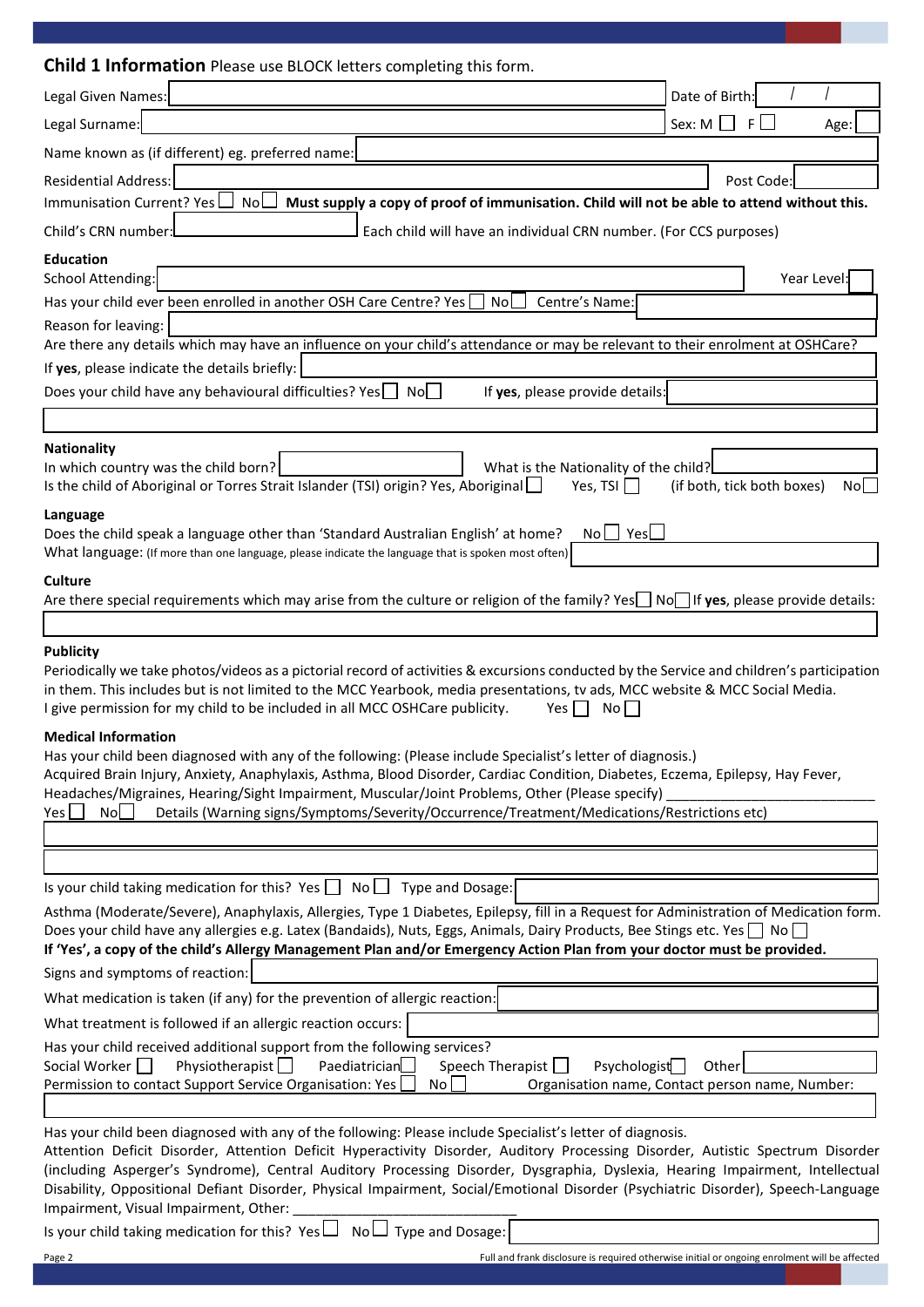| <b>Child 1 Information</b> Please use BLOCK letters completing this form.                                                                                                                                                                                                                                                                                                                                                                                                                                                                                  |                                                          |
|------------------------------------------------------------------------------------------------------------------------------------------------------------------------------------------------------------------------------------------------------------------------------------------------------------------------------------------------------------------------------------------------------------------------------------------------------------------------------------------------------------------------------------------------------------|----------------------------------------------------------|
| Legal Given Names:                                                                                                                                                                                                                                                                                                                                                                                                                                                                                                                                         | Date of Birth:                                           |
| Legal Surname:                                                                                                                                                                                                                                                                                                                                                                                                                                                                                                                                             | Sex: $M \Box$<br>$F \Box$<br>Age:                        |
| Name known as (if different) eg. preferred name:                                                                                                                                                                                                                                                                                                                                                                                                                                                                                                           |                                                          |
| <b>Residential Address:</b>                                                                                                                                                                                                                                                                                                                                                                                                                                                                                                                                | Post Code:                                               |
| Immunisation Current? Yes<br>NoL<br>Must supply a copy of proof of immunisation. Child will not be able to attend without this.                                                                                                                                                                                                                                                                                                                                                                                                                            |                                                          |
| Child's CRN number:<br>Each child will have an individual CRN number. (For CCS purposes)                                                                                                                                                                                                                                                                                                                                                                                                                                                                   |                                                          |
| <b>Education</b>                                                                                                                                                                                                                                                                                                                                                                                                                                                                                                                                           |                                                          |
| School Attending:                                                                                                                                                                                                                                                                                                                                                                                                                                                                                                                                          | Year Level:                                              |
| Has your child ever been enrolled in another OSH Care Centre? Yes<br>Centre's Name:<br>No                                                                                                                                                                                                                                                                                                                                                                                                                                                                  |                                                          |
| Reason for leaving:                                                                                                                                                                                                                                                                                                                                                                                                                                                                                                                                        |                                                          |
| Are there any details which may have an influence on your child's attendance or may be relevant to their enrolment at OSHCare?                                                                                                                                                                                                                                                                                                                                                                                                                             |                                                          |
| If yes, please indicate the details briefly:                                                                                                                                                                                                                                                                                                                                                                                                                                                                                                               |                                                          |
| Does your child have any behavioural difficulties? Yes   No<br>If yes, please provide details:                                                                                                                                                                                                                                                                                                                                                                                                                                                             |                                                          |
|                                                                                                                                                                                                                                                                                                                                                                                                                                                                                                                                                            |                                                          |
| <b>Nationality</b><br>In which country was the child born?<br>What is the Nationality of the child?<br>Is the child of Aboriginal or Torres Strait Islander (TSI) origin? Yes, Aboriginal<br>Yes, TSI                                                                                                                                                                                                                                                                                                                                                      | (if both, tick both boxes)<br>Nol l                      |
| Language<br>$No \bigsqcup Yes$<br>Does the child speak a language other than 'Standard Australian English' at home?<br>What language: (If more than one language, please indicate the language that is spoken most often)                                                                                                                                                                                                                                                                                                                                  |                                                          |
| <b>Culture</b>                                                                                                                                                                                                                                                                                                                                                                                                                                                                                                                                             |                                                          |
| Are there special requirements which may arise from the culture or religion of the family? Yes $\Box$ No $\Box$ If yes, please provide details:                                                                                                                                                                                                                                                                                                                                                                                                            |                                                          |
|                                                                                                                                                                                                                                                                                                                                                                                                                                                                                                                                                            |                                                          |
| <b>Publicity</b><br>Periodically we take photos/videos as a pictorial record of activities & excursions conducted by the Service and children's participation<br>in them. This includes but is not limited to the MCC Yearbook, media presentations, tv ads, MCC website & MCC Social Media.<br>I give permission for my child to be included in all MCC OSHCare publicity.<br>No<br>Yes l                                                                                                                                                                 |                                                          |
| <b>Medical Information</b><br>Has your child been diagnosed with any of the following: (Please include Specialist's letter of diagnosis.)<br>Acquired Brain Injury, Anxiety, Anaphylaxis, Asthma, Blood Disorder, Cardiac Condition, Diabetes, Eczema, Epilepsy, Hay Fever,<br>Headaches/Migraines, Hearing/Sight Impairment, Muscular/Joint Problems, Other (Please specify)<br>Details (Warning signs/Symptoms/Severity/Occurrence/Treatment/Medications/Restrictions etc)<br>Yes  <br>Nol                                                               |                                                          |
|                                                                                                                                                                                                                                                                                                                                                                                                                                                                                                                                                            |                                                          |
|                                                                                                                                                                                                                                                                                                                                                                                                                                                                                                                                                            |                                                          |
| Is your child taking medication for this? Yes $\Box$ No $\Box$ Type and Dosage:                                                                                                                                                                                                                                                                                                                                                                                                                                                                            |                                                          |
| Asthma (Moderate/Severe), Anaphylaxis, Allergies, Type 1 Diabetes, Epilepsy, fill in a Request for Administration of Medication form.<br>Does your child have any allergies e.g. Latex (Bandaids), Nuts, Eggs, Animals, Dairy Products, Bee Stings etc. Yes no<br>If 'Yes', a copy of the child's Allergy Management Plan and/or Emergency Action Plan from your doctor must be provided.                                                                                                                                                                  |                                                          |
| Signs and symptoms of reaction:                                                                                                                                                                                                                                                                                                                                                                                                                                                                                                                            |                                                          |
| What medication is taken (if any) for the prevention of allergic reaction:                                                                                                                                                                                                                                                                                                                                                                                                                                                                                 |                                                          |
| What treatment is followed if an allergic reaction occurs:                                                                                                                                                                                                                                                                                                                                                                                                                                                                                                 |                                                          |
| Has your child received additional support from the following services?<br>Speech Therapist<br>Physiotherapist<br>Paediatrician<br>Psychologist<br>Social Worker    <br>Permission to contact Support Service Organisation: Yes<br>No                                                                                                                                                                                                                                                                                                                      | Other<br>Organisation name, Contact person name, Number: |
|                                                                                                                                                                                                                                                                                                                                                                                                                                                                                                                                                            |                                                          |
| Has your child been diagnosed with any of the following: Please include Specialist's letter of diagnosis.<br>Attention Deficit Disorder, Attention Deficit Hyperactivity Disorder, Auditory Processing Disorder, Autistic Spectrum Disorder<br>(including Asperger's Syndrome), Central Auditory Processing Disorder, Dysgraphia, Dyslexia, Hearing Impairment, Intellectual<br>Disability, Oppositional Defiant Disorder, Physical Impairment, Social/Emotional Disorder (Psychiatric Disorder), Speech-Language<br>Impairment, Visual Impairment, Other: |                                                          |
| Is your child taking medication for this? Yes $\Box$<br>$No \Box$ Type and Dosage:                                                                                                                                                                                                                                                                                                                                                                                                                                                                         |                                                          |

Is your child taking medication for this?  $Yes \Box No \Box$  Type and Dosage: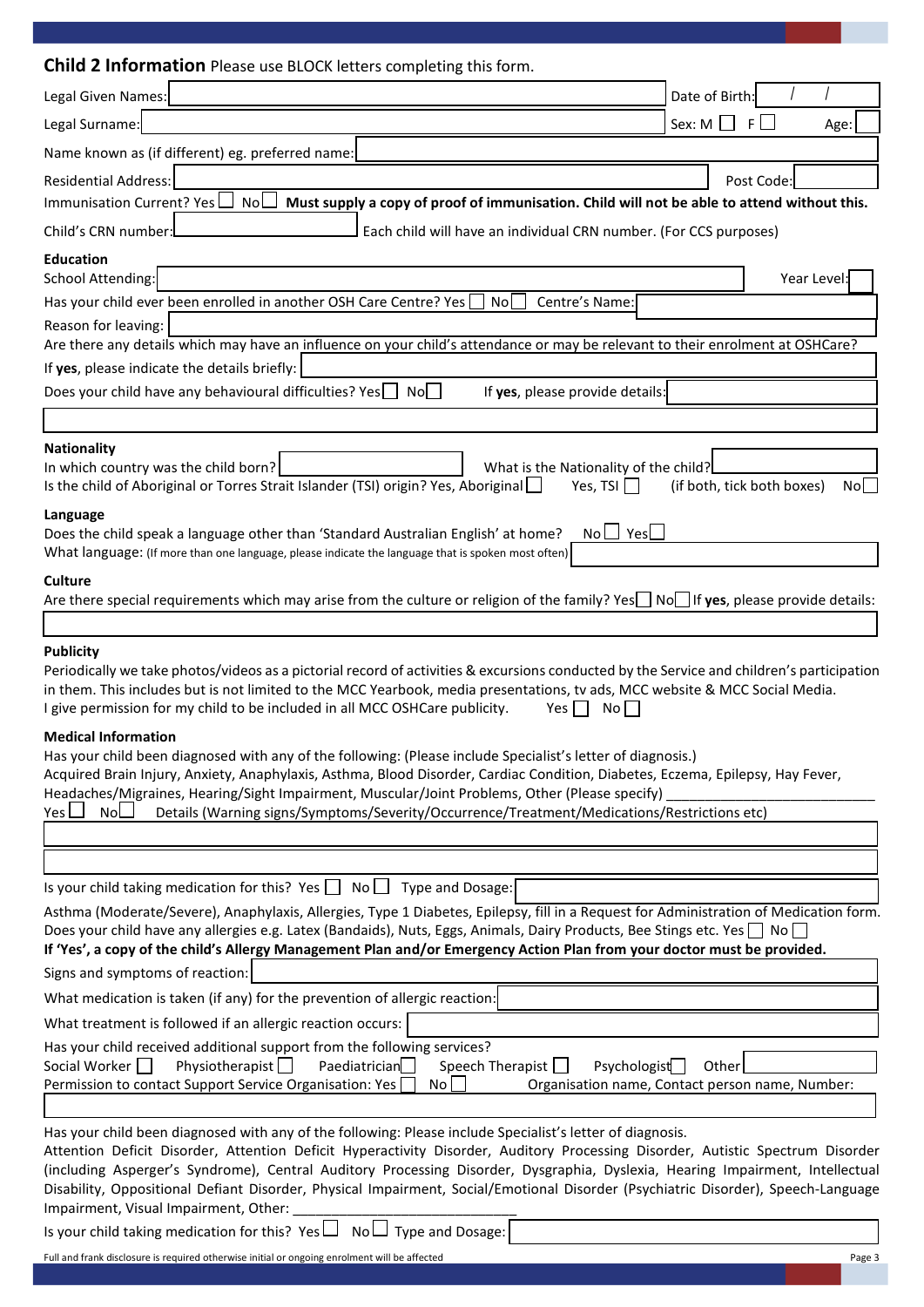| <b>Child 2 Information</b> Please use BLOCK letters completing this form.                                                                                                                                                                                                                                                                                                                                                                                                                                                                                  |                                                 |
|------------------------------------------------------------------------------------------------------------------------------------------------------------------------------------------------------------------------------------------------------------------------------------------------------------------------------------------------------------------------------------------------------------------------------------------------------------------------------------------------------------------------------------------------------------|-------------------------------------------------|
| Legal Given Names:                                                                                                                                                                                                                                                                                                                                                                                                                                                                                                                                         | Date of Birth:                                  |
| Legal Surname:                                                                                                                                                                                                                                                                                                                                                                                                                                                                                                                                             | Sex: M<br>-F I<br>Age:                          |
| Name known as (if different) eg. preferred name:                                                                                                                                                                                                                                                                                                                                                                                                                                                                                                           |                                                 |
| <b>Residential Address:</b>                                                                                                                                                                                                                                                                                                                                                                                                                                                                                                                                | Post Code:                                      |
| Immunisation Current? Yes<br>Nol<br>Must supply a copy of proof of immunisation. Child will not be able to attend without this.                                                                                                                                                                                                                                                                                                                                                                                                                            |                                                 |
| Child's CRN number:<br>Each child will have an individual CRN number. (For CCS purposes)                                                                                                                                                                                                                                                                                                                                                                                                                                                                   |                                                 |
| <b>Education</b>                                                                                                                                                                                                                                                                                                                                                                                                                                                                                                                                           |                                                 |
| School Attending:                                                                                                                                                                                                                                                                                                                                                                                                                                                                                                                                          | Year Level:                                     |
| Has your child ever been enrolled in another OSH Care Centre? Yes<br>Centre's Name:<br>No                                                                                                                                                                                                                                                                                                                                                                                                                                                                  |                                                 |
| Reason for leaving:                                                                                                                                                                                                                                                                                                                                                                                                                                                                                                                                        |                                                 |
| Are there any details which may have an influence on your child's attendance or may be relevant to their enrolment at OSHCare?                                                                                                                                                                                                                                                                                                                                                                                                                             |                                                 |
| If yes, please indicate the details briefly:                                                                                                                                                                                                                                                                                                                                                                                                                                                                                                               |                                                 |
| Does your child have any behavioural difficulties? Yes   No<br>If yes, please provide details:                                                                                                                                                                                                                                                                                                                                                                                                                                                             |                                                 |
|                                                                                                                                                                                                                                                                                                                                                                                                                                                                                                                                                            |                                                 |
| <b>Nationality</b><br>In which country was the child born?<br>What is the Nationality of the child?                                                                                                                                                                                                                                                                                                                                                                                                                                                        |                                                 |
| Is the child of Aboriginal or Torres Strait Islander (TSI) origin? Yes, Aboriginal<br>Yes, TSI                                                                                                                                                                                                                                                                                                                                                                                                                                                             | (if both, tick both boxes)<br>No                |
| Language                                                                                                                                                                                                                                                                                                                                                                                                                                                                                                                                                   |                                                 |
| $No \cup Yes$<br>Does the child speak a language other than 'Standard Australian English' at home?<br>What language: (If more than one language, please indicate the language that is spoken most often)                                                                                                                                                                                                                                                                                                                                                   |                                                 |
| Culture                                                                                                                                                                                                                                                                                                                                                                                                                                                                                                                                                    |                                                 |
| Are there special requirements which may arise from the culture or religion of the family? Yes No If yes, please provide details:                                                                                                                                                                                                                                                                                                                                                                                                                          |                                                 |
|                                                                                                                                                                                                                                                                                                                                                                                                                                                                                                                                                            |                                                 |
| <b>Publicity</b><br>Periodically we take photos/videos as a pictorial record of activities & excursions conducted by the Service and children's participation<br>in them. This includes but is not limited to the MCC Yearbook, media presentations, tv ads, MCC website & MCC Social Media.<br>I give permission for my child to be included in all MCC OSHCare publicity.<br>No<br>Yes                                                                                                                                                                   |                                                 |
| <b>Medical Information</b><br>Has your child been diagnosed with any of the following: (Please include Specialist's letter of diagnosis.)<br>Acquired Brain Injury, Anxiety, Anaphylaxis, Asthma, Blood Disorder, Cardiac Condition, Diabetes, Eczema, Epilepsy, Hay Fever,<br>Headaches/Migraines, Hearing/Sight Impairment, Muscular/Joint Problems, Other (Please specify)<br>Yes $\mathsf{\mathsf{L}}$<br><b>NoL</b><br>Details (Warning signs/Symptoms/Severity/Occurrence/Treatment/Medications/Restrictions etc)                                    |                                                 |
|                                                                                                                                                                                                                                                                                                                                                                                                                                                                                                                                                            |                                                 |
|                                                                                                                                                                                                                                                                                                                                                                                                                                                                                                                                                            |                                                 |
| Is your child taking medication for this? Yes $\Box$ No $\Box$ Type and Dosage:                                                                                                                                                                                                                                                                                                                                                                                                                                                                            |                                                 |
| Asthma (Moderate/Severe), Anaphylaxis, Allergies, Type 1 Diabetes, Epilepsy, fill in a Request for Administration of Medication form.<br>Does your child have any allergies e.g. Latex (Bandaids), Nuts, Eggs, Animals, Dairy Products, Bee Stings etc. Yes<br>If 'Yes', a copy of the child's Allergy Management Plan and/or Emergency Action Plan from your doctor must be provided.                                                                                                                                                                     |                                                 |
| Signs and symptoms of reaction:                                                                                                                                                                                                                                                                                                                                                                                                                                                                                                                            |                                                 |
| What medication is taken (if any) for the prevention of allergic reaction:                                                                                                                                                                                                                                                                                                                                                                                                                                                                                 |                                                 |
| What treatment is followed if an allergic reaction occurs:                                                                                                                                                                                                                                                                                                                                                                                                                                                                                                 |                                                 |
| Has your child received additional support from the following services?<br>Physiotherapist $\Box$<br>Paediatrician<br>Speech Therapist $\Box$<br>Social Worker    <br>Psychologist                                                                                                                                                                                                                                                                                                                                                                         | Other                                           |
| Permission to contact Support Service Organisation: Yes<br>No l                                                                                                                                                                                                                                                                                                                                                                                                                                                                                            | Organisation name, Contact person name, Number: |
|                                                                                                                                                                                                                                                                                                                                                                                                                                                                                                                                                            |                                                 |
| Has your child been diagnosed with any of the following: Please include Specialist's letter of diagnosis.<br>Attention Deficit Disorder, Attention Deficit Hyperactivity Disorder, Auditory Processing Disorder, Autistic Spectrum Disorder<br>(including Asperger's Syndrome), Central Auditory Processing Disorder, Dysgraphia, Dyslexia, Hearing Impairment, Intellectual<br>Disability, Oppositional Defiant Disorder, Physical Impairment, Social/Emotional Disorder (Psychiatric Disorder), Speech-Language<br>Impairment, Visual Impairment, Other: |                                                 |
| Is your child taking medication for this? Yes $\Box$<br>$\mathsf{No}\sqcup\mathsf{Type}$ and Dosage:                                                                                                                                                                                                                                                                                                                                                                                                                                                       |                                                 |

Full and frank disclosure is required otherwise initial or ongoing enrolment will be affected Page 3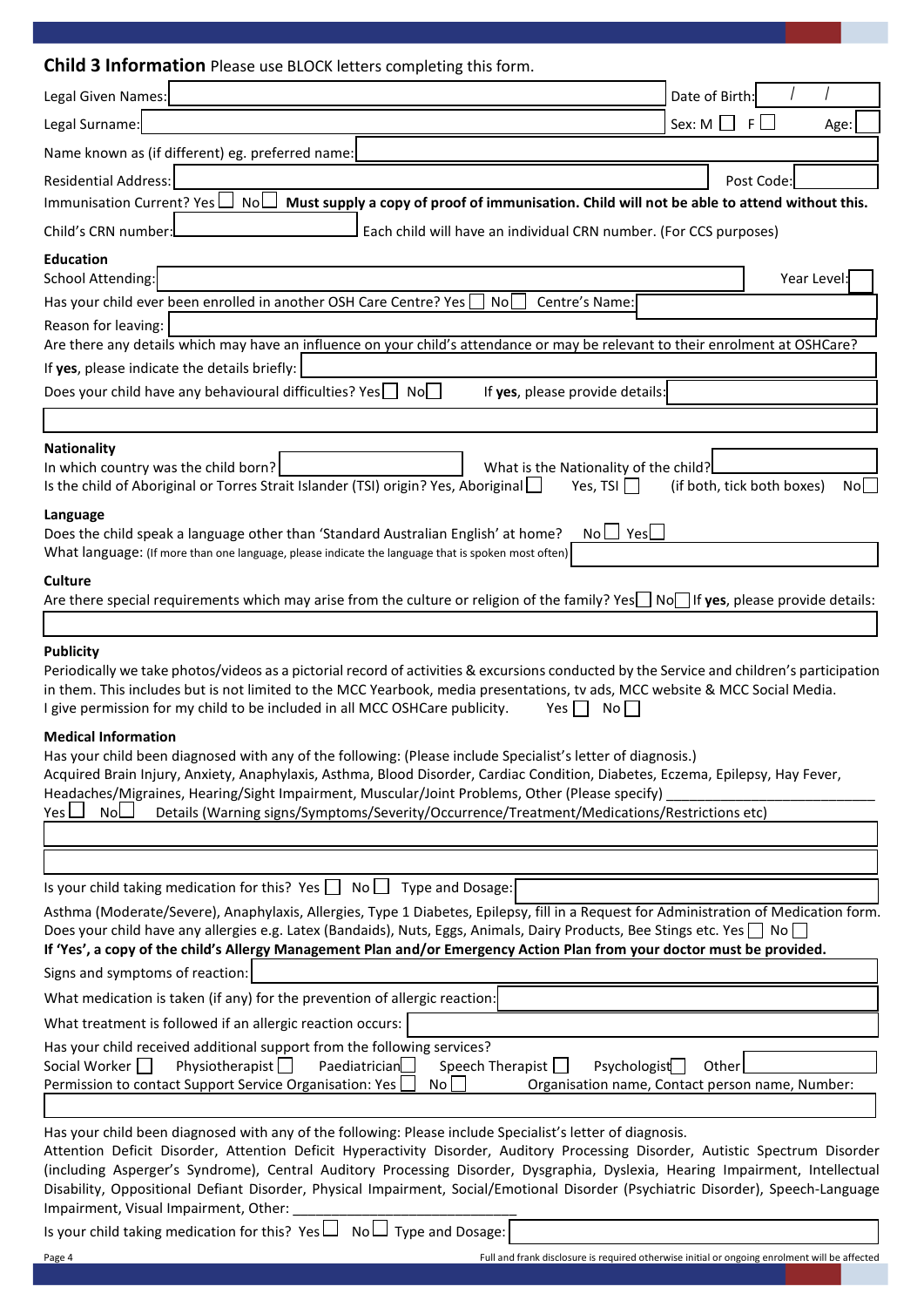| <b>Child 3 Information</b> Please use BLOCK letters completing this form.                                                                                                                                                                                                                                                                                                                                                                                                                                                                                  |                                                 |
|------------------------------------------------------------------------------------------------------------------------------------------------------------------------------------------------------------------------------------------------------------------------------------------------------------------------------------------------------------------------------------------------------------------------------------------------------------------------------------------------------------------------------------------------------------|-------------------------------------------------|
| Legal Given Names:                                                                                                                                                                                                                                                                                                                                                                                                                                                                                                                                         | Date of Birth:                                  |
| Legal Surname:                                                                                                                                                                                                                                                                                                                                                                                                                                                                                                                                             | Sex: $M \Box$<br>$F \Box$<br>Age:               |
| Name known as (if different) eg. preferred name:                                                                                                                                                                                                                                                                                                                                                                                                                                                                                                           |                                                 |
| <b>Residential Address:</b>                                                                                                                                                                                                                                                                                                                                                                                                                                                                                                                                | Post Code:                                      |
| Immunisation Current? Yes<br>NoL<br>Must supply a copy of proof of immunisation. Child will not be able to attend without this.                                                                                                                                                                                                                                                                                                                                                                                                                            |                                                 |
| Child's CRN number:<br>Each child will have an individual CRN number. (For CCS purposes)                                                                                                                                                                                                                                                                                                                                                                                                                                                                   |                                                 |
| <b>Education</b>                                                                                                                                                                                                                                                                                                                                                                                                                                                                                                                                           |                                                 |
| School Attending:                                                                                                                                                                                                                                                                                                                                                                                                                                                                                                                                          | Year Level:                                     |
| Has your child ever been enrolled in another OSH Care Centre? Yes<br>Centre's Name:<br>No                                                                                                                                                                                                                                                                                                                                                                                                                                                                  |                                                 |
| Reason for leaving:                                                                                                                                                                                                                                                                                                                                                                                                                                                                                                                                        |                                                 |
| Are there any details which may have an influence on your child's attendance or may be relevant to their enrolment at OSHCare?                                                                                                                                                                                                                                                                                                                                                                                                                             |                                                 |
| If yes, please indicate the details briefly:                                                                                                                                                                                                                                                                                                                                                                                                                                                                                                               |                                                 |
| Does your child have any behavioural difficulties? Yes   No<br>If yes, please provide details:                                                                                                                                                                                                                                                                                                                                                                                                                                                             |                                                 |
|                                                                                                                                                                                                                                                                                                                                                                                                                                                                                                                                                            |                                                 |
| <b>Nationality</b><br>In which country was the child born?<br>What is the Nationality of the child?                                                                                                                                                                                                                                                                                                                                                                                                                                                        |                                                 |
| Is the child of Aboriginal or Torres Strait Islander (TSI) origin? Yes, Aboriginal<br>Yes, TSI                                                                                                                                                                                                                                                                                                                                                                                                                                                             | (if both, tick both boxes)<br>Nol l             |
| Language<br>$No \perp Yes \perp$<br>Does the child speak a language other than 'Standard Australian English' at home?                                                                                                                                                                                                                                                                                                                                                                                                                                      |                                                 |
| What language: (If more than one language, please indicate the language that is spoken most often)                                                                                                                                                                                                                                                                                                                                                                                                                                                         |                                                 |
| <b>Culture</b>                                                                                                                                                                                                                                                                                                                                                                                                                                                                                                                                             |                                                 |
| Are there special requirements which may arise from the culture or religion of the family? Yes $\Box$ No $\Box$ If yes, please provide details:                                                                                                                                                                                                                                                                                                                                                                                                            |                                                 |
|                                                                                                                                                                                                                                                                                                                                                                                                                                                                                                                                                            |                                                 |
| <b>Publicity</b><br>Periodically we take photos/videos as a pictorial record of activities & excursions conducted by the Service and children's participation<br>in them. This includes but is not limited to the MCC Yearbook, media presentations, tv ads, MCC website & MCC Social Media.<br>I give permission for my child to be included in all MCC OSHCare publicity.<br>No<br>Yes l                                                                                                                                                                 |                                                 |
| <b>Medical Information</b><br>Has your child been diagnosed with any of the following: (Please include Specialist's letter of diagnosis.)<br>Acquired Brain Injury, Anxiety, Anaphylaxis, Asthma, Blood Disorder, Cardiac Condition, Diabetes, Eczema, Epilepsy, Hay Fever,<br>Headaches/Migraines, Hearing/Sight Impairment, Muscular/Joint Problems, Other (Please specify)<br>Yes L<br>NoL<br>Details (Warning signs/Symptoms/Severity/Occurrence/Treatment/Medications/Restrictions etc)                                                               |                                                 |
|                                                                                                                                                                                                                                                                                                                                                                                                                                                                                                                                                            |                                                 |
|                                                                                                                                                                                                                                                                                                                                                                                                                                                                                                                                                            |                                                 |
| Is your child taking medication for this? Yes $\Box$ No $\Box$ Type and Dosage:                                                                                                                                                                                                                                                                                                                                                                                                                                                                            |                                                 |
| Asthma (Moderate/Severe), Anaphylaxis, Allergies, Type 1 Diabetes, Epilepsy, fill in a Request for Administration of Medication form.<br>Does your child have any allergies e.g. Latex (Bandaids), Nuts, Eggs, Animals, Dairy Products, Bee Stings etc. Yes no<br>If 'Yes', a copy of the child's Allergy Management Plan and/or Emergency Action Plan from your doctor must be provided.                                                                                                                                                                  |                                                 |
| Signs and symptoms of reaction:                                                                                                                                                                                                                                                                                                                                                                                                                                                                                                                            |                                                 |
| What medication is taken (if any) for the prevention of allergic reaction:                                                                                                                                                                                                                                                                                                                                                                                                                                                                                 |                                                 |
| What treatment is followed if an allergic reaction occurs:                                                                                                                                                                                                                                                                                                                                                                                                                                                                                                 |                                                 |
| Has your child received additional support from the following services?                                                                                                                                                                                                                                                                                                                                                                                                                                                                                    |                                                 |
| Speech Therapist<br>Physiotherapist<br>Paediatrician<br>Psychologist<br>Social Worker                                                                                                                                                                                                                                                                                                                                                                                                                                                                      | Other                                           |
| Permission to contact Support Service Organisation: Yes<br>No                                                                                                                                                                                                                                                                                                                                                                                                                                                                                              | Organisation name, Contact person name, Number: |
|                                                                                                                                                                                                                                                                                                                                                                                                                                                                                                                                                            |                                                 |
| Has your child been diagnosed with any of the following: Please include Specialist's letter of diagnosis.<br>Attention Deficit Disorder, Attention Deficit Hyperactivity Disorder, Auditory Processing Disorder, Autistic Spectrum Disorder<br>(including Asperger's Syndrome), Central Auditory Processing Disorder, Dysgraphia, Dyslexia, Hearing Impairment, Intellectual<br>Disability, Oppositional Defiant Disorder, Physical Impairment, Social/Emotional Disorder (Psychiatric Disorder), Speech-Language<br>Impairment, Visual Impairment, Other: |                                                 |
| Is your child taking medication for this? Yes $\Box$<br>$No \Box$ Type and Dosage:                                                                                                                                                                                                                                                                                                                                                                                                                                                                         |                                                 |

Is your child taking medication for this?  $Yes \Box No \Box$  Type and Dosage: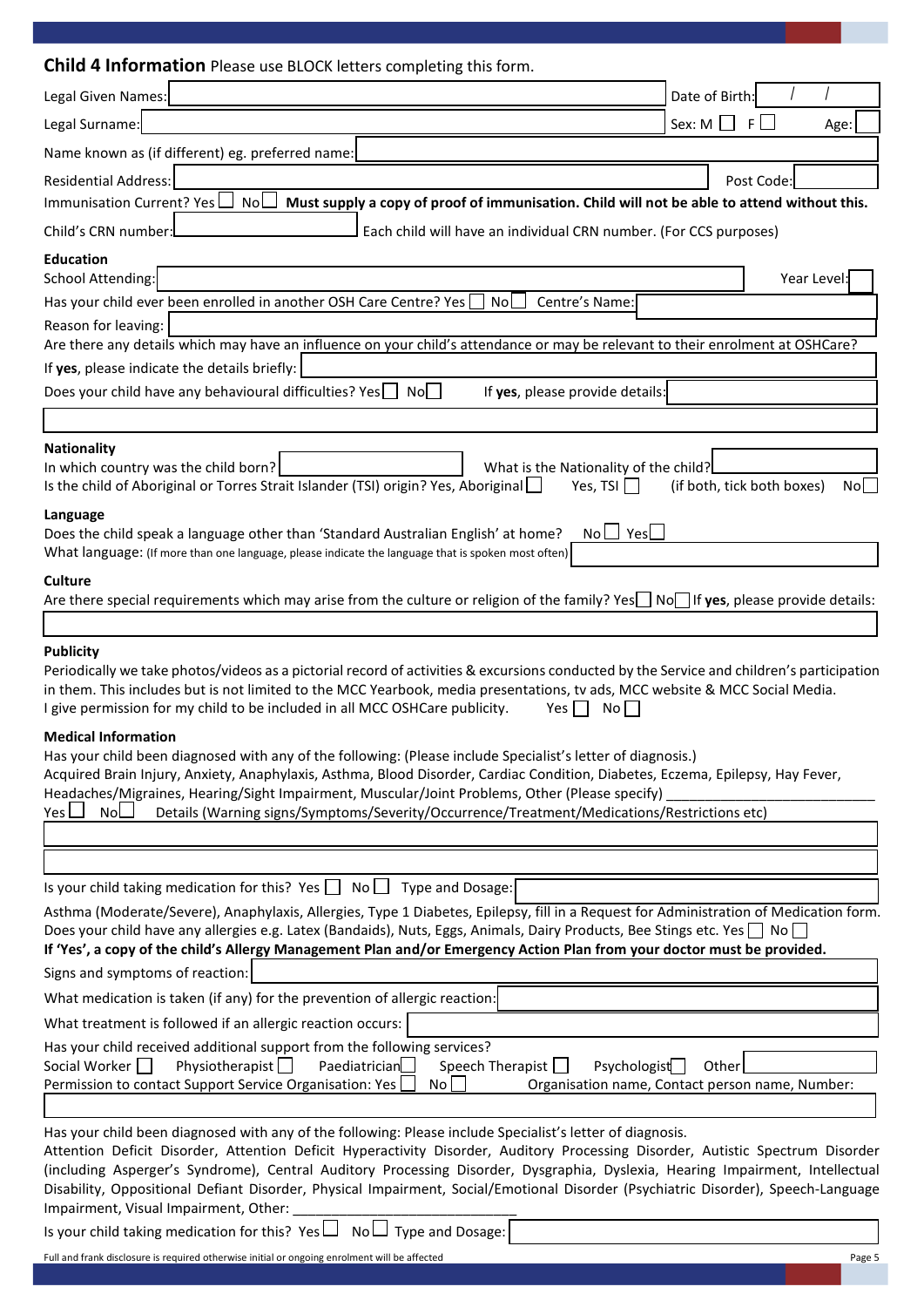| <b>Child 4 Information</b> Please use BLOCK letters completing this form.                                                                                                                                                                                                                                                                                                                                                                                                                                                                                  |                                                 |
|------------------------------------------------------------------------------------------------------------------------------------------------------------------------------------------------------------------------------------------------------------------------------------------------------------------------------------------------------------------------------------------------------------------------------------------------------------------------------------------------------------------------------------------------------------|-------------------------------------------------|
| Legal Given Names:                                                                                                                                                                                                                                                                                                                                                                                                                                                                                                                                         | Date of Birth:                                  |
| Legal Surname:                                                                                                                                                                                                                                                                                                                                                                                                                                                                                                                                             | Sex: M<br>-F I<br>Age:                          |
| Name known as (if different) eg. preferred name:                                                                                                                                                                                                                                                                                                                                                                                                                                                                                                           |                                                 |
| <b>Residential Address:</b>                                                                                                                                                                                                                                                                                                                                                                                                                                                                                                                                | Post Code:                                      |
| Immunisation Current? Yes<br>Nol<br>Must supply a copy of proof of immunisation. Child will not be able to attend without this.                                                                                                                                                                                                                                                                                                                                                                                                                            |                                                 |
| Child's CRN number:<br>Each child will have an individual CRN number. (For CCS purposes)                                                                                                                                                                                                                                                                                                                                                                                                                                                                   |                                                 |
| <b>Education</b>                                                                                                                                                                                                                                                                                                                                                                                                                                                                                                                                           |                                                 |
| School Attending:                                                                                                                                                                                                                                                                                                                                                                                                                                                                                                                                          | Year Level:                                     |
| Has your child ever been enrolled in another OSH Care Centre? Yes<br>Centre's Name:<br>Nol                                                                                                                                                                                                                                                                                                                                                                                                                                                                 |                                                 |
| Reason for leaving:                                                                                                                                                                                                                                                                                                                                                                                                                                                                                                                                        |                                                 |
| Are there any details which may have an influence on your child's attendance or may be relevant to their enrolment at OSHCare?                                                                                                                                                                                                                                                                                                                                                                                                                             |                                                 |
| If yes, please indicate the details briefly:                                                                                                                                                                                                                                                                                                                                                                                                                                                                                                               |                                                 |
| Does your child have any behavioural difficulties? Yes   No<br>If yes, please provide details:                                                                                                                                                                                                                                                                                                                                                                                                                                                             |                                                 |
|                                                                                                                                                                                                                                                                                                                                                                                                                                                                                                                                                            |                                                 |
| <b>Nationality</b><br>In which country was the child born?<br>What is the Nationality of the child?                                                                                                                                                                                                                                                                                                                                                                                                                                                        |                                                 |
| Is the child of Aboriginal or Torres Strait Islander (TSI) origin? Yes, Aboriginal<br>Yes, TSI                                                                                                                                                                                                                                                                                                                                                                                                                                                             | (if both, tick both boxes)<br>No                |
| Language                                                                                                                                                                                                                                                                                                                                                                                                                                                                                                                                                   |                                                 |
| $No \bigsqcup Yes$<br>Does the child speak a language other than 'Standard Australian English' at home?                                                                                                                                                                                                                                                                                                                                                                                                                                                    |                                                 |
| What language: (If more than one language, please indicate the language that is spoken most often)                                                                                                                                                                                                                                                                                                                                                                                                                                                         |                                                 |
| Culture<br>Are there special requirements which may arise from the culture or religion of the family? Yes $\Box$ No $\Box$ If yes, please provide details:                                                                                                                                                                                                                                                                                                                                                                                                 |                                                 |
|                                                                                                                                                                                                                                                                                                                                                                                                                                                                                                                                                            |                                                 |
| <b>Publicity</b><br>Periodically we take photos/videos as a pictorial record of activities & excursions conducted by the Service and children's participation<br>in them. This includes but is not limited to the MCC Yearbook, media presentations, tv ads, MCC website & MCC Social Media.<br>I give permission for my child to be included in all MCC OSHCare publicity.<br>No<br>Yes                                                                                                                                                                   |                                                 |
| <b>Medical Information</b><br>Has your child been diagnosed with any of the following: (Please include Specialist's letter of diagnosis.)<br>Acquired Brain Injury, Anxiety, Anaphylaxis, Asthma, Blood Disorder, Cardiac Condition, Diabetes, Eczema, Epilepsy, Hay Fever,<br>Headaches/Migraines, Hearing/Sight Impairment, Muscular/Joint Problems, Other (Please specify)<br>Yes L<br><b>NoL</b><br>Details (Warning signs/Symptoms/Severity/Occurrence/Treatment/Medications/Restrictions etc)                                                        |                                                 |
|                                                                                                                                                                                                                                                                                                                                                                                                                                                                                                                                                            |                                                 |
|                                                                                                                                                                                                                                                                                                                                                                                                                                                                                                                                                            |                                                 |
| Is your child taking medication for this? Yes $\Box$ No $\Box$ Type and Dosage:                                                                                                                                                                                                                                                                                                                                                                                                                                                                            |                                                 |
| Asthma (Moderate/Severe), Anaphylaxis, Allergies, Type 1 Diabetes, Epilepsy, fill in a Request for Administration of Medication form.<br>Does your child have any allergies e.g. Latex (Bandaids), Nuts, Eggs, Animals, Dairy Products, Bee Stings etc. Yes<br>If 'Yes', a copy of the child's Allergy Management Plan and/or Emergency Action Plan from your doctor must be provided.                                                                                                                                                                     |                                                 |
| Signs and symptoms of reaction:                                                                                                                                                                                                                                                                                                                                                                                                                                                                                                                            |                                                 |
| What medication is taken (if any) for the prevention of allergic reaction:                                                                                                                                                                                                                                                                                                                                                                                                                                                                                 |                                                 |
| What treatment is followed if an allergic reaction occurs:                                                                                                                                                                                                                                                                                                                                                                                                                                                                                                 |                                                 |
| Has your child received additional support from the following services?<br>Physiotherapist $\Box$<br>Paediatrician<br>Speech Therapist $\Box$<br>Social Worker    <br>Psychologist                                                                                                                                                                                                                                                                                                                                                                         | Other                                           |
| Permission to contact Support Service Organisation: Yes<br>No l                                                                                                                                                                                                                                                                                                                                                                                                                                                                                            | Organisation name, Contact person name, Number: |
|                                                                                                                                                                                                                                                                                                                                                                                                                                                                                                                                                            |                                                 |
| Has your child been diagnosed with any of the following: Please include Specialist's letter of diagnosis.<br>Attention Deficit Disorder, Attention Deficit Hyperactivity Disorder, Auditory Processing Disorder, Autistic Spectrum Disorder<br>(including Asperger's Syndrome), Central Auditory Processing Disorder, Dysgraphia, Dyslexia, Hearing Impairment, Intellectual<br>Disability, Oppositional Defiant Disorder, Physical Impairment, Social/Emotional Disorder (Psychiatric Disorder), Speech-Language<br>Impairment, Visual Impairment, Other: |                                                 |
| Is your child taking medication for this? Yes $\Box$<br>$\mathsf{No}\sqcup\mathsf{Type}$ and Dosage:                                                                                                                                                                                                                                                                                                                                                                                                                                                       |                                                 |

Full and frank disclosure is required otherwise initial or ongoing enrolment will be affected Page 5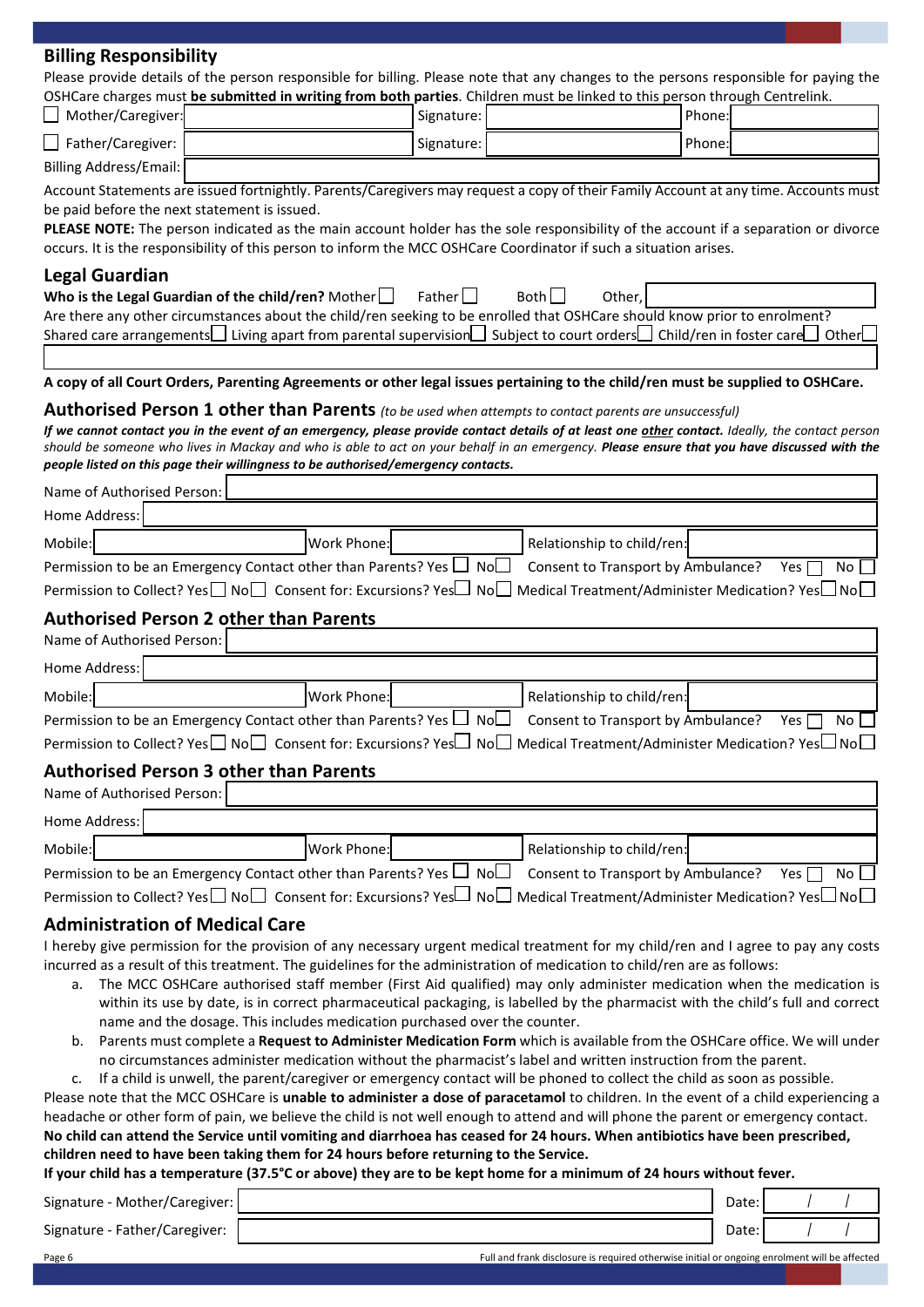| <b>Billing Responsibility</b>                                                                                                                                                                                                    |                                                                           |               |                                                                                                                                 |        |                  |
|----------------------------------------------------------------------------------------------------------------------------------------------------------------------------------------------------------------------------------|---------------------------------------------------------------------------|---------------|---------------------------------------------------------------------------------------------------------------------------------|--------|------------------|
| Please provide details of the person responsible for billing. Please note that any changes to the persons responsible for paying the                                                                                             |                                                                           |               |                                                                                                                                 |        |                  |
| OSHCare charges must be submitted in writing from both parties. Children must be linked to this person through Centrelink.<br>Mother/Caregiver:                                                                                  |                                                                           | Signature:    |                                                                                                                                 | Phone: |                  |
|                                                                                                                                                                                                                                  |                                                                           |               |                                                                                                                                 |        |                  |
| $\Box$ Father/Caregiver:                                                                                                                                                                                                         |                                                                           | Signature:    |                                                                                                                                 | Phone: |                  |
| <b>Billing Address/Email:</b>                                                                                                                                                                                                    |                                                                           |               |                                                                                                                                 |        |                  |
| Account Statements are issued fortnightly. Parents/Caregivers may request a copy of their Family Account at any time. Accounts must<br>be paid before the next statement is issued.                                              |                                                                           |               |                                                                                                                                 |        |                  |
| PLEASE NOTE: The person indicated as the main account holder has the sole responsibility of the account if a separation or divorce                                                                                               |                                                                           |               |                                                                                                                                 |        |                  |
| occurs. It is the responsibility of this person to inform the MCC OSHCare Coordinator if such a situation arises.                                                                                                                |                                                                           |               |                                                                                                                                 |        |                  |
| <b>Legal Guardian</b>                                                                                                                                                                                                            |                                                                           |               |                                                                                                                                 |        |                  |
| Who is the Legal Guardian of the child/ren? Mother $\Box$                                                                                                                                                                        |                                                                           | Father $\Box$ | Both<br>Other,                                                                                                                  |        |                  |
| Are there any other circumstances about the child/ren seeking to be enrolled that OSHCare should know prior to enrolment?                                                                                                        |                                                                           |               |                                                                                                                                 |        |                  |
| Shared care arrangements I Living apart from parental supervision Subject to court orders Child/ren in foster care                                                                                                               |                                                                           |               |                                                                                                                                 |        | OtherL           |
|                                                                                                                                                                                                                                  |                                                                           |               |                                                                                                                                 |        |                  |
| A copy of all Court Orders, Parenting Agreements or other legal issues pertaining to the child/ren must be supplied to OSHCare.                                                                                                  |                                                                           |               |                                                                                                                                 |        |                  |
| Authorised Person 1 other than Parents (to be used when attempts to contact parents are unsuccessful)                                                                                                                            |                                                                           |               |                                                                                                                                 |        |                  |
| If we cannot contact you in the event of an emergency, please provide contact details of at least one other contact. Ideally, the contact person                                                                                 |                                                                           |               |                                                                                                                                 |        |                  |
| should be someone who lives in Mackay and who is able to act on your behalf in an emergency. Please ensure that you have discussed with the<br>people listed on this page their willingness to be authorised/emergency contacts. |                                                                           |               |                                                                                                                                 |        |                  |
| Name of Authorised Person:                                                                                                                                                                                                       |                                                                           |               |                                                                                                                                 |        |                  |
| Home Address:                                                                                                                                                                                                                    |                                                                           |               |                                                                                                                                 |        |                  |
|                                                                                                                                                                                                                                  |                                                                           |               |                                                                                                                                 |        |                  |
| Mobile:                                                                                                                                                                                                                          | Work Phone:                                                               |               | Relationship to child/ren:                                                                                                      |        |                  |
| Permission to be an Emergency Contact other than Parents? Yes $\Box$ No $\Box$ Consent to Transport by Ambulance?                                                                                                                |                                                                           |               |                                                                                                                                 |        | Yes [<br>No      |
| Permission to Collect? Yes□ No□ Consent for: Excursions? Yes□ No□ Medical Treatment/Administer Medication? Yes□No□                                                                                                               |                                                                           |               |                                                                                                                                 |        |                  |
| <b>Authorised Person 2 other than Parents</b>                                                                                                                                                                                    |                                                                           |               |                                                                                                                                 |        |                  |
| Name of Authorised Person:                                                                                                                                                                                                       |                                                                           |               |                                                                                                                                 |        |                  |
| Home Address:                                                                                                                                                                                                                    |                                                                           |               |                                                                                                                                 |        |                  |
| Mobile:                                                                                                                                                                                                                          | Work Phone:                                                               |               | Relationship to child/ren:                                                                                                      |        |                  |
| Permission to be an Emergency Contact other than Parents? Yes $\Box$ No $\Box$                                                                                                                                                   |                                                                           |               | Consent to Transport by Ambulance?                                                                                              |        | Yes $\Box$<br>No |
| Permission to Collect? Yes□ No□ Consent for: Excursions? Yes□ No□ Medical Treatment/Administer Medication? Yes□No□                                                                                                               |                                                                           |               |                                                                                                                                 |        |                  |
| <b>Authorised Person 3 other than Parents</b>                                                                                                                                                                                    |                                                                           |               |                                                                                                                                 |        |                  |
| Name of Authorised Person:                                                                                                                                                                                                       |                                                                           |               |                                                                                                                                 |        |                  |
| Home Address:                                                                                                                                                                                                                    |                                                                           |               |                                                                                                                                 |        |                  |
|                                                                                                                                                                                                                                  |                                                                           |               |                                                                                                                                 |        |                  |
| Mobile:                                                                                                                                                                                                                          | Work Phone:                                                               |               | Relationship to child/ren:                                                                                                      |        |                  |
| Permission to be an Emergency Contact other than Parents? Yes $\Box$ No $\Box$                                                                                                                                                   |                                                                           |               | Consent to Transport by Ambulance?                                                                                              |        | Yes [<br>No      |
| Permission to Collect? Yes□ No□ Consent for: Excursions? Yes□ No□ Medical Treatment/Administer Medication? Yes□No□                                                                                                               |                                                                           |               |                                                                                                                                 |        |                  |
| <b>Administration of Medical Care</b>                                                                                                                                                                                            |                                                                           |               |                                                                                                                                 |        |                  |
| I hereby give permission for the provision of any necessary urgent medical treatment for my child/ren and I agree to pay any costs                                                                                               |                                                                           |               |                                                                                                                                 |        |                  |
| incurred as a result of this treatment. The guidelines for the administration of medication to child/ren are as follows:<br>а.                                                                                                   |                                                                           |               | The MCC OSHCare authorised staff member (First Aid qualified) may only administer medication when the medication is             |        |                  |
|                                                                                                                                                                                                                                  |                                                                           |               | within its use by date, is in correct pharmaceutical packaging, is labelled by the pharmacist with the child's full and correct |        |                  |
|                                                                                                                                                                                                                                  | name and the dosage. This includes medication purchased over the counter. |               |                                                                                                                                 |        |                  |
| b.                                                                                                                                                                                                                               |                                                                           |               | Parents must complete a Request to Administer Medication Form which is available from the OSHCare office. We will under         |        |                  |
|                                                                                                                                                                                                                                  |                                                                           |               | no circumstances administer medication without the pharmacist's label and written instruction from the parent.                  |        |                  |
| c.<br>Please note that the MCC OSHCare is unable to administer a dose of paracetamol to children. In the event of a child experiencing a                                                                                         |                                                                           |               | If a child is unwell, the parent/caregiver or emergency contact will be phoned to collect the child as soon as possible.        |        |                  |
| headache or other form of pain, we believe the child is not well enough to attend and will phone the parent or emergency contact.                                                                                                |                                                                           |               |                                                                                                                                 |        |                  |
| No child can attend the Service until vomiting and diarrhoea has ceased for 24 hours. When antibiotics have been prescribed,                                                                                                     |                                                                           |               |                                                                                                                                 |        |                  |
| children need to have been taking them for 24 hours before returning to the Service.                                                                                                                                             |                                                                           |               |                                                                                                                                 |        |                  |
| If your child has a temperature (37.5°C or above) they are to be kept home for a minimum of 24 hours without fever.                                                                                                              |                                                                           |               |                                                                                                                                 |        |                  |
| Signature - Mother/Caregiver:                                                                                                                                                                                                    |                                                                           |               |                                                                                                                                 | Date:  |                  |

Signature - Father/Caregiver: Date: Date: Date: Date: Date: Date: Date: Date: Date: Date: Date: Date: Date: Date: Date: Date: Date: Date: Date: Date: Date: Date: Date: Date: Date: Date: Date: Date: Date: Date: Date: Date:

| Page 6 | Full and frank disclosure is required otherwise initial or ongoing enrolment will be affected |
|--------|-----------------------------------------------------------------------------------------------|

/ /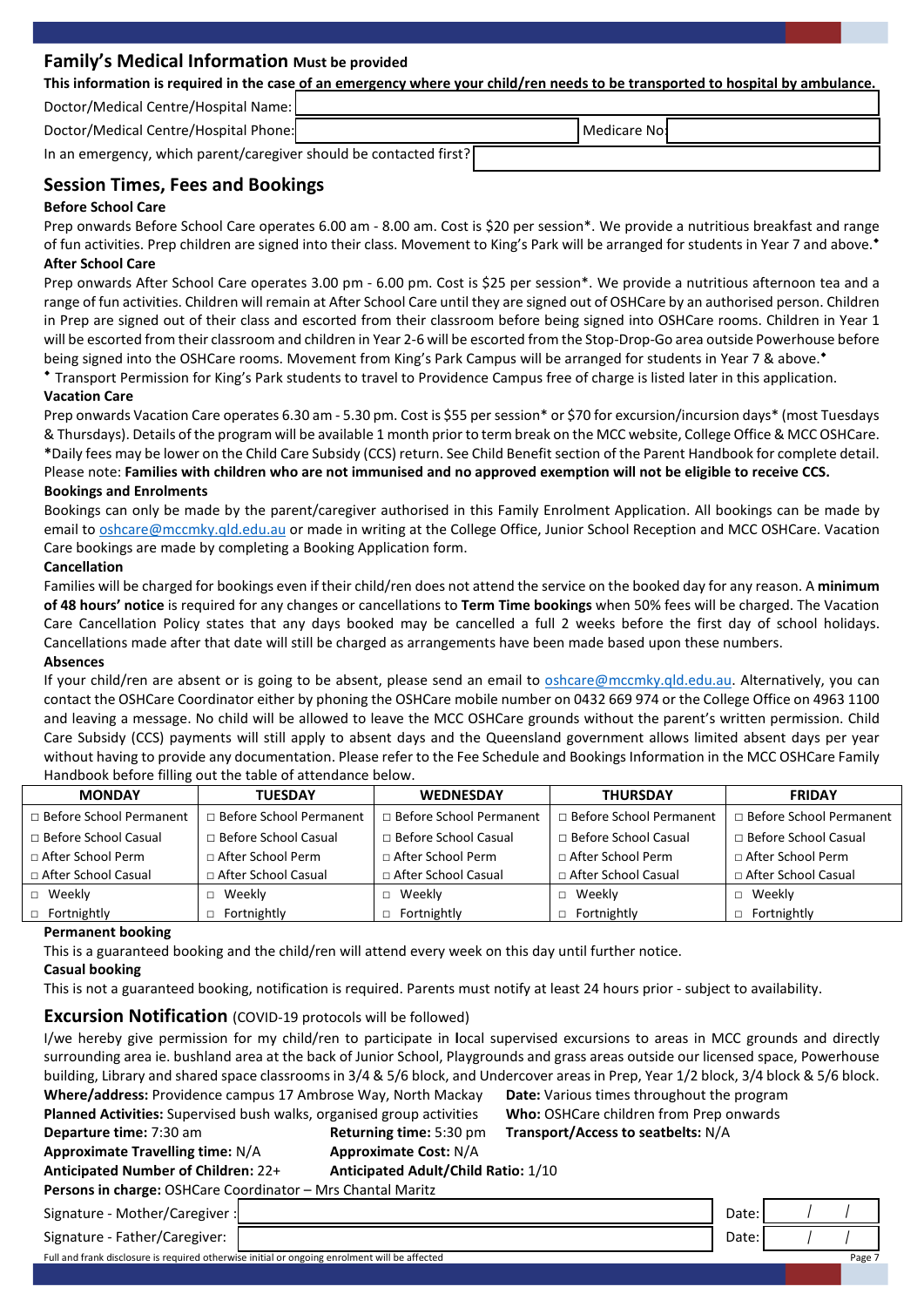## **Family's Medical Information Must be provided**

| This information is required in the case of an emergency where your child/ren needs to be transported to hospital by ambulance. |
|---------------------------------------------------------------------------------------------------------------------------------|
|                                                                                                                                 |

Doctor/Medical Centre/Hospital Name:

| Doctor/Medical Centre/Hospital Phone:                              | <b>I</b> Medicare No! |  |
|--------------------------------------------------------------------|-----------------------|--|
| In an emergency, which parent/caregiver should be contacted first? |                       |  |

# **Session Times, Fees and Bookings**

## **Before School Care**

Prep onwards Before School Care operates 6.00 am - 8.00 am. Cost is \$20 per session\*. We provide a nutritious breakfast and range of fun activities. Prep children are signed into their class. Movement to King's Park will be arranged for students in Year 7 and above.<sup>\*</sup> **After School Care**

Prep onwards After School Care operates 3.00 pm - 6.00 pm. Cost is \$25 per session\*. We provide a nutritious afternoon tea and a range of fun activities. Children will remain at After School Care until they are signed out of OSHCare by an authorised person. Children in Prep are signed out of their class and escorted from their classroom before being signed into OSHCare rooms. Children in Year 1 will be escorted from their classroom and children in Year 2-6 will be escorted from the Stop-Drop-Go area outside Powerhouse before being signed into the OSHCare rooms. Movement from King's Park Campus will be arranged for students in Year 7 & above.<sup>\*</sup>

 Transport Permission for King's Park students to travel to Providence Campus free of charge is listed later in this application. **Vacation Care**

Prep onwards Vacation Care operates 6.30 am - 5.30 pm. Cost is \$55 per session\* or \$70 for excursion/incursion days\* (most Tuesdays & Thursdays). Details of the program will be available 1 month prior to term break on the MCC website, College Office & MCC OSHCare. **\***Daily fees may be lower on the Child Care Subsidy (CCS) return. See Child Benefit section of the Parent Handbook for complete detail. Please note: **Families with children who are not immunised and no approved exemption will not be eligible to receive CCS.**

#### **Bookings and Enrolments**

Bookings can only be made by the parent/caregiver authorised in this Family Enrolment Application. All bookings can be made by email to [oshcare@mccmky.qld.edu.au](file://mccfile01/office$/Information%20pack/OSHCare/Single%20Docs%202013/Word%20documents/kcampbell@mccmky.qld.edu.au) or made in writing at the College Office, Junior School Reception and MCC OSHCare. Vacation Care bookings are made by completing a Booking Application form.

#### **Cancellation**

Families will be charged for bookings even if their child/ren does not attend the service on the booked day for any reason. A **minimum of 48 hours' notice** is required for any changes or cancellations to **Term Time bookings** when 50% fees will be charged. The Vacation Care Cancellation Policy states that any days booked may be cancelled a full 2 weeks before the first day of school holidays. Cancellations made after that date will still be charged as arrangements have been made based upon these numbers.

#### **Absences**

If your child/ren are absent or is going to be absent, please send an email to [oshcare@mccmky.qld.edu.au.](mailto:oshcare@mccmky.qld.edu.au) Alternatively, you can contact the OSHCare Coordinator either by phoning the OSHCare mobile number on 0432 669 974 or the College Office on 4963 1100 and leaving a message. No child will be allowed to leave the MCC OSHCare grounds without the parent's written permission. Child Care Subsidy (CCS) payments will still apply to absent days and the Queensland government allows limited absent days per year without having to provide any documentation. Please refer to the Fee Schedule and Bookings Information in the MCC OSHCare Family Handbook before filling out the table of attendance below.

| <b>TUESDAY</b><br><b>MONDAY</b> |                                | <b>WEDNESDAY</b>            | <b>THURSDAY</b>           | <b>FRIDAY</b>             |  |
|---------------------------------|--------------------------------|-----------------------------|---------------------------|---------------------------|--|
| □ Before School Permanent       | $\Box$ Before School Permanent | □ Before School Permanent   | □ Before School Permanent | □ Before School Permanent |  |
| $\Box$ Before School Casual     | $\Box$ Before School Casual    | $\Box$ Before School Casual | □ Before School Casual    | □ Before School Casual    |  |
| □ After School Perm             | $\Box$ After School Perm       | □ After School Perm         | □ After School Perm       | □ After School Perm       |  |
| □ After School Casual           | □ After School Casual          | □ After School Casual       | □ After School Casual     | □ After School Casual     |  |
| □ Weekly                        | Weekly                         | Weekly                      | Weekly                    | $\Box$ Weekly             |  |
| $\Box$ Fortnightly              | Fortnightly                    | Fortnightly                 | Fortnightly               | $\Box$ Fortnightly        |  |

#### **Permanent booking**

This is a guaranteed booking and the child/ren will attend every week on this day until further notice.

## **Casual booking**

This is not a guaranteed booking, notification is required. Parents must notify at least 24 hours prior - subject to availability.

# **Excursion Notification** (COVID-19 protocols will be followed)

| <b>EXCUPTION INSTITUTION (COVID-1) DIVIDIOS WILL DE TOILOWED)</b>                                                                      |                                     |                                            |       |        |
|----------------------------------------------------------------------------------------------------------------------------------------|-------------------------------------|--------------------------------------------|-------|--------|
| I/we hereby give permission for my child/ren to participate in local supervised excursions to areas in MCC grounds and directly        |                                     |                                            |       |        |
| surrounding area ie. bushland area at the back of Junior School, Playgrounds and grass areas outside our licensed space, Powerhouse    |                                     |                                            |       |        |
| building, Library and shared space classrooms in 3/4 & 5/6 block, and Undercover areas in Prep, Year 1/2 block, 3/4 block & 5/6 block. |                                     |                                            |       |        |
| Where/address: Providence campus 17 Ambrose Way, North Mackay                                                                          |                                     | Date: Various times throughout the program |       |        |
| Planned Activities: Supervised bush walks, organised group activities                                                                  |                                     | Who: OSHCare children from Prep onwards    |       |        |
| Transport/Access to seatbelts: N/A<br>Departure time: 7:30 am<br>Returning time: 5:30 pm                                               |                                     |                                            |       |        |
| <b>Approximate Travelling time: N/A</b>                                                                                                | <b>Approximate Cost: N/A</b>        |                                            |       |        |
| Anticipated Number of Children: 22+                                                                                                    | Anticipated Adult/Child Ratio: 1/10 |                                            |       |        |
| Persons in charge: OSHCare Coordinator - Mrs Chantal Maritz                                                                            |                                     |                                            |       |        |
| Signature - Mother/Caregiver :                                                                                                         |                                     |                                            | Date: |        |
| Signature - Father/Caregiver:                                                                                                          |                                     |                                            | Date: |        |
| Full and frank disclosure is required otherwise initial or ongoing enrolment will be affected                                          |                                     |                                            |       | Page 7 |
|                                                                                                                                        |                                     |                                            |       |        |